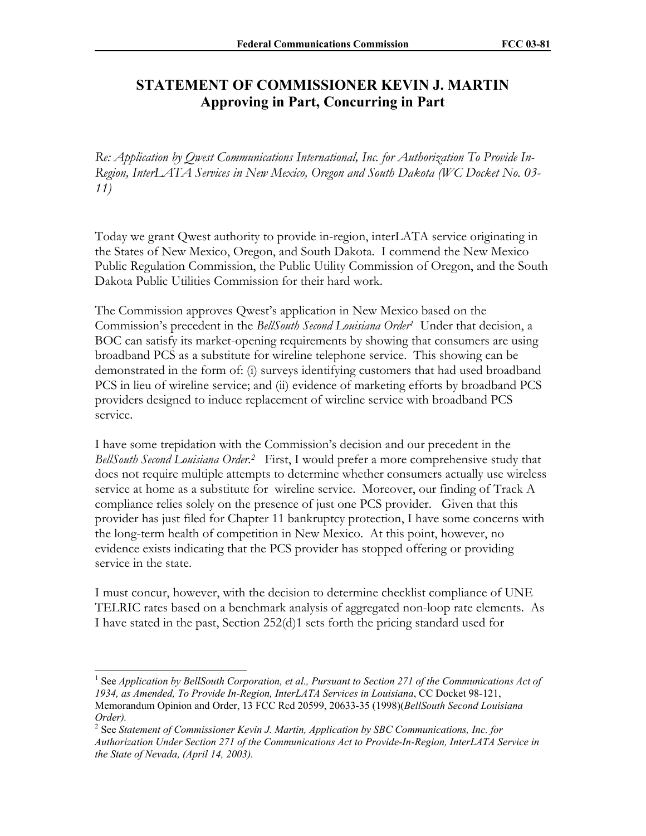## **STATEMENT OF COMMISSIONER KEVIN J. MARTIN Approving in Part, Concurring in Part**

*Re: Application by Qwest Communications International, Inc. for Authorization To Provide In-Region, InterLATA Services in New Mexico, Oregon and South Dakota (WC Docket No. 03- 11)* 

Today we grant Qwest authority to provide in-region, interLATA service originating in the States of New Mexico, Oregon, and South Dakota. I commend the New Mexico Public Regulation Commission, the Public Utility Commission of Oregon, and the South Dakota Public Utilities Commission for their hard work.

The Commission approves Qwest's application in New Mexico based on the Commission's precedent in the *BellSouth Second Louisiana Order1* Under that decision, a BOC can satisfy its market-opening requirements by showing that consumers are using broadband PCS as a substitute for wireline telephone service. This showing can be demonstrated in the form of: (i) surveys identifying customers that had used broadband PCS in lieu of wireline service; and (ii) evidence of marketing efforts by broadband PCS providers designed to induce replacement of wireline service with broadband PCS service.

I have some trepidation with the Commission's decision and our precedent in the *BellSouth Second Louisiana Order.2* First, I would prefer a more comprehensive study that does not require multiple attempts to determine whether consumers actually use wireless service at home as a substitute for wireline service. Moreover, our finding of Track A compliance relies solely on the presence of just one PCS provider. Given that this provider has just filed for Chapter 11 bankruptcy protection, I have some concerns with the long-term health of competition in New Mexico. At this point, however, no evidence exists indicating that the PCS provider has stopped offering or providing service in the state.

I must concur, however, with the decision to determine checklist compliance of UNE TELRIC rates based on a benchmark analysis of aggregated non-loop rate elements. As I have stated in the past, Section 252(d)1 sets forth the pricing standard used for

 $\overline{\phantom{a}}$ 

<sup>&</sup>lt;sup>1</sup> See *Application by BellSouth Corporation, et al., Pursuant to Section 271 of the Communications Act of 1934, as Amended, To Provide In-Region, InterLATA Services in Louisiana*, CC Docket 98-121, Memorandum Opinion and Order, 13 FCC Rcd 20599, 20633-35 (1998)(*BellSouth Second Louisiana Order).* 

<sup>&</sup>lt;sup>2</sup> See *Statement of Commissioner Kevin J. Martin, Application by SBC Communications, Inc. for Authorization Under Section 271 of the Communications Act to Provide-In-Region, InterLATA Service in the State of Nevada, (April 14, 2003).*